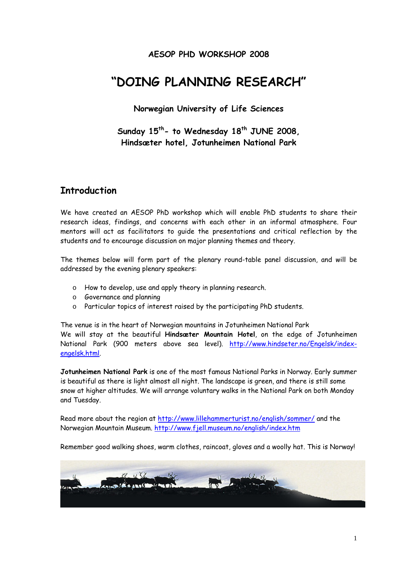### **AESOP PHD WORKSHOP 2008**

# **"DOING PLANNING RESEARCH"**

**Norwegian University of Life Sciences** 

Sunday 15<sup>th</sup>- to Wednesday 18<sup>th</sup> JUNE 2008, **Hindsæter hotel, Jotunheimen National Park** 

### **Introduction**

We have created an AESOP PhD workshop which will enable PhD students to share their research ideas, findings, and concerns with each other in an informal atmosphere. Four mentors will act as facilitators to guide the presentations and critical reflection by the students and to encourage discussion on major planning themes and theory.

The themes below will form part of the plenary round-table panel discussion, and will be addressed by the evening plenary speakers:

- o How to develop, use and apply theory in planning research.
- o Governance and planning
- o Particular topics of interest raised by the participating PhD students.

The venue is in the heart of Norwegian mountains in Jotunheimen National Park We will stay at the beautiful **Hindsæter Mountain Hotel**, on the edge of Jotunheimen National Park (900 meters above sea level). http://www.hindseter.no/Engelsk/indexengelsk.html.

**Jotunheimen National Park** is one of the most famous National Parks in Norway. Early summer is beautiful as there is light almost all night. The landscape is green, and there is still some snow at higher altitudes. We will arrange voluntary walks in the National Park on both Monday and Tuesday.

Read more about the region at http://www.lillehammerturist.no/english/sommer/ and the Norwegian Mountain Museum. http://www.fjell.museum.no/english/index.htm

Remember good walking shoes, warm clothes, raincoat, gloves and a woolly hat. This is Norway!

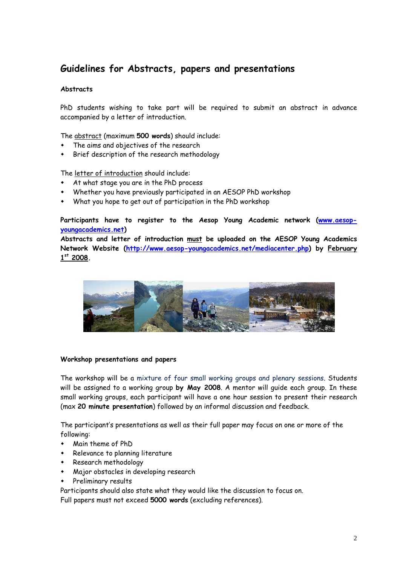## **Guidelines for Abstracts, papers and presentations**

#### **Abstracts**

PhD students wishing to take part will be required to submit an abstract in advance accompanied by a letter of introduction.

The abstract (maximum **500 words**) should include:

- The aims and objectives of the research
- Brief description of the research methodology

The letter of introduction should include:

- At what stage you are in the PhD process
- Whether you have previously participated in an AESOP PhD workshop
- What you hope to get out of participation in the PhD workshop

**Participants have to register to the Aesop Young Academic network (www.aesopyoungacademics.net)** 

**Abstracts and letter of introduction must be uploaded on the AESOP Young Academics Network Website (http://www.aesop-youngacademics.net/mediacenter.php) by February 1st 2008.** 



#### **Workshop presentations and papers**

The workshop will be a mixture of four small working groups and plenary sessions. Students will be assigned to a working group **by May 2008**. A mentor will guide each group. In these small working groups, each participant will have a one hour session to present their research (max **20 minute presentation**) followed by an informal discussion and feedback.

The participant's presentations as well as their full paper may focus on one or more of the following:

- Main theme of PhD
- Relevance to planning literature
- Research methodology
- Major obstacles in developing research
- Preliminary results

Participants should also state what they would like the discussion to focus on.

Full papers must not exceed **5000 words** (excluding references).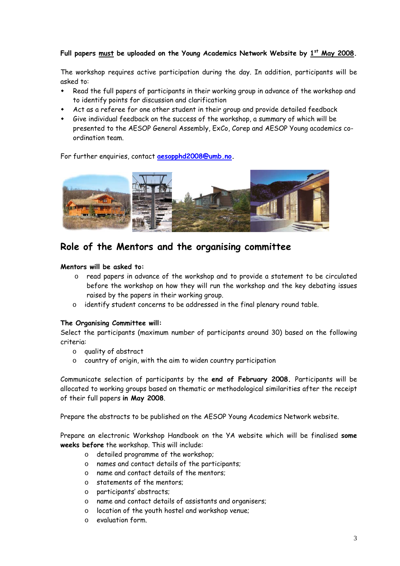#### **Full papers must be uploaded on the Young Academics Network Website by 1st May 2008.**

The workshop requires active participation during the day. In addition, participants will be asked to:

- Read the full papers of participants in their working group in advance of the workshop and to identify points for discussion and clarification
- Act as a referee for one other student in their group and provide detailed feedback
- Give individual feedback on the success of the workshop, a summary of which will be presented to the AESOP General Assembly, ExCo, Corep and AESOP Young academics coordination team.

For further enquiries, contact **aesopphd2008@umb.no.** 



### **Role of the Mentors and the organising committee**

#### **Mentors will be asked to:**

- o read papers in advance of the workshop and to provide a statement to be circulated before the workshop on how they will run the workshop and the key debating issues raised by the papers in their working group.
- o identify student concerns to be addressed in the final plenary round table.

#### **The Organising Committee will:**

Select the participants (maximum number of participants around 30) based on the following criteria:

- o quality of abstract
- o country of origin, with the aim to widen country participation

Communicate selection of participants by the **end of February 2008.** Participants will be allocated to working groups based on thematic or methodological similarities after the receipt of their full papers **in May 2008**.

Prepare the abstracts to be published on the AESOP Young Academics Network website.

Prepare an electronic Workshop Handbook on the YA website which will be finalised **some weeks before** the workshop. This will include:

- o detailed programme of the workshop;
- o names and contact details of the participants;
- o name and contact details of the mentors;
- o statements of the mentors;
- o participants' abstracts;
- o name and contact details of assistants and organisers;
- o location of the youth hostel and workshop venue;
- o evaluation form.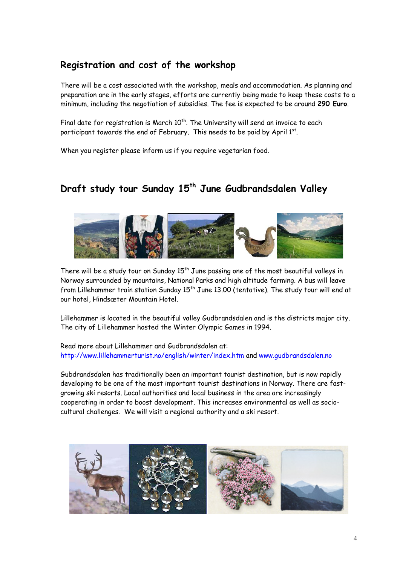## **Registration and cost of the workshop**

There will be a cost associated with the workshop, meals and accommodation. As planning and preparation are in the early stages, efforts are currently being made to keep these costs to a minimum, including the negotiation of subsidies. The fee is expected to be around **290 Euro**.

Final date for registration is March  $10^{th}$ . The University will send an invoice to each participant towards the end of February. This needs to be paid by April  $1<sup>st</sup>$ .

When you register please inform us if you require vegetarian food.

## Draft study tour Sunday 15<sup>th</sup> June Gudbrandsdalen Valley



There will be a study tour on Sunday  $15<sup>th</sup>$  June passing one of the most beautiful valleys in Norway surrounded by mountains, National Parks and high altitude farming. A bus will leave from Lillehammer train station Sunday 15<sup>th</sup> June 13.00 (tentative). The study tour will end at our hotel, Hindsæter Mountain Hotel.

Lillehammer is located in the beautiful valley Gudbrandsdalen and is the districts major city. The city of Lillehammer hosted the Winter Olympic Games in 1994.

Read more about Lillehammer and Gudbrandsdalen at: http://www.lillehammerturist.no/english/winter/index.htm and www.gudbrandsdalen.no

Gubdrandsdalen has traditionally been an important tourist destination, but is now rapidly developing to be one of the most important tourist destinations in Norway. There are fastgrowing ski resorts. Local authorities and local business in the area are increasingly cooperating in order to boost development. This increases environmental as well as sociocultural challenges. We will visit a regional authority and a ski resort.

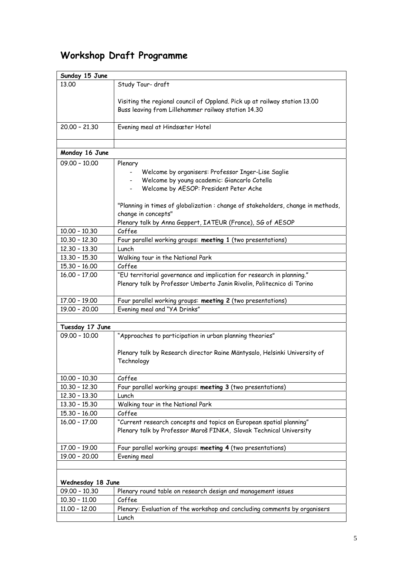# **Workshop Draft Programme**

| Sunday 15 June                     |                                                                                 |  |
|------------------------------------|---------------------------------------------------------------------------------|--|
| 13.00                              | Study Tour- draft                                                               |  |
|                                    |                                                                                 |  |
|                                    | Visiting the regional council of Oppland. Pick up at railway station 13.00      |  |
|                                    | Buss leaving from Lillehammer railway station 14.30                             |  |
|                                    |                                                                                 |  |
| $20.00 - 21.30$                    | Evening meal at Hindsæter Hotel                                                 |  |
|                                    |                                                                                 |  |
| Monday 16 June                     |                                                                                 |  |
| $09.00 - 10.00$                    | Plenary                                                                         |  |
|                                    | Welcome by organisers: Professor Inger-Lise Saglie                              |  |
|                                    | Welcome by young academic: Giancarlo Cotella<br>$\sim$                          |  |
|                                    | Welcome by AESOP: President Peter Ache                                          |  |
|                                    |                                                                                 |  |
|                                    | "Planning in times of globalization: change of stakeholders, change in methods, |  |
|                                    | change in concepts"                                                             |  |
|                                    | Plenary talk by Anna Geppert, IATEUR (France), SG of AESOP                      |  |
| $10.00 - 10.30$                    | Coffee                                                                          |  |
| $10.30 - 12.30$                    | Four parallel working groups: meeting 1 (two presentations)                     |  |
| $12.30 - 13.30$                    | Lunch                                                                           |  |
| $13.30 - 15.30$                    | Walking tour in the National Park                                               |  |
| $15.30 - 16.00$                    | Coffee                                                                          |  |
| $16.00 - 17.00$                    | "EU territorial governance and implication for research in planning."           |  |
|                                    | Plenary talk by Professor Umberto Janin Rivolin, Politecnico di Torino          |  |
|                                    |                                                                                 |  |
| 17.00 - 19.00                      | Four parallel working groups: meeting 2 (two presentations)                     |  |
| 19.00 - 20.00                      | Evening meal and "YA Drinks"                                                    |  |
|                                    |                                                                                 |  |
| Tuesday 17 June<br>$09.00 - 10.00$ |                                                                                 |  |
|                                    | "Approaches to participation in urban planning theories"                        |  |
|                                    | Plenary talk by Research director Raine Mäntysalo, Helsinki University of       |  |
|                                    | Technology                                                                      |  |
|                                    |                                                                                 |  |
| $10.00 - 10.30$                    | Coffee                                                                          |  |
| $10.30 - 12.30$                    | Four parallel working groups: meeting 3 (two presentations)                     |  |
| $12.30 - 13.30$                    | Lunch                                                                           |  |
| $13.30 - 15.30$                    | Walking tour in the National Park                                               |  |
| $15.30 - 16.00$                    | Coffee                                                                          |  |
| $16.00 - 17.00$                    | "Current research concepts and topics on European spatial planning"             |  |
|                                    | Plenary talk by Professor Maroš FINKA, Slovak Technical University              |  |
|                                    |                                                                                 |  |
| $17.00 - 19.00$                    | Four parallel working groups: meeting 4 (two presentations)                     |  |
| 19.00 - 20.00                      | Evening meal                                                                    |  |
|                                    |                                                                                 |  |
| Wednesday 18 June                  |                                                                                 |  |
| $09.00 - 10.30$                    | Plenary round table on research design and management issues                    |  |
| $10.30 - 11.00$                    | Coffee                                                                          |  |
| $11.00 - 12.00$                    | Plenary: Evaluation of the workshop and concluding comments by organisers       |  |
|                                    | Lunch                                                                           |  |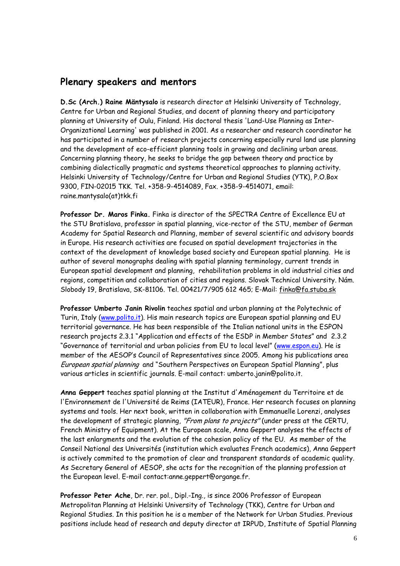### **Plenary speakers and mentors**

**D.Sc (Arch.) Raine Mäntysalo** is research director at Helsinki University of Technology, Centre for Urban and Regional Studies, and docent of planning theory and participatory planning at University of Oulu, Finland. His doctoral thesis 'Land-Use Planning as Inter-Organizational Learning' was published in 2001. As a researcher and research coordinator he has participated in a number of research projects concerning especially rural land use planning and the development of eco-efficient planning tools in growing and declining urban areas. Concerning planning theory, he seeks to bridge the gap between theory and practice by combining dialectically pragmatic and systems theoretical approaches to planning activity. Helsinki University of Technology/Centre for Urban and Regional Studies (YTK), P.O.Box 9300, FIN-02015 TKK. Tel. +358-9-4514089, Fax. +358-9-4514071, email: raine.mantysalo(at)tkk.fi

**Professor Dr. Maros Finka.** Finka is director of the SPECTRA Centre of Excellence EU at the STU Bratislava, professor in spatial planning, vice-rector of the STU, member of German Academy for Spatial Research and Planning, member of several scientific and advisory boards in Europe. His research activities are focused on spatial development trajectories in the context of the development of knowledge based society and European spatial planning. He is author of several monographs dealing with spatial planning terminology, current trends in European spatial development and planning, rehabilitation problems in old industrial cities and regions, competition and collaboration of cities and regions. Slovak Technical University. Nám. Slobody 19, Bratislava, SK-81106. Tel. 00421/7/905 612 465; E-Mail: finka@fa.stuba.sk

**Professor Umberto Janin Rivolin** teaches spatial and urban planning at the Polytechnic of Turin, Italy (www.polito.it). His main research topics are European spatial planning and EU territorial governance. He has been responsible of the Italian national units in the ESPON research projects 2.3.1 "Application and effects of the ESDP in Member States" and 2.3.2 "Governance of territorial and urban policies from EU to local level" (www.espon.eu). He is member of the AESOP's Council of Representatives since 2005. Among his publications area European spatial planning and "Southern Perspectives on European Spatial Planning", plus various articles in scientific journals. E-mail contact: umberto.janin@polito.it.

**Anna Geppert** teaches spatial planning at the Institut d'Aménagement du Territoire et de l'Environnement de l'Université de Reims (IATEUR), France. Her research focuses on planning systems and tools. Her next book, written in collaboration with Emmanuelle Lorenzi, analyses the development of strategic planning, "From plans to projects" (under press at the CERTU, French Ministry of Equipment). At the European scale, Anna Geppert analyses the effects of the last enlargments and the evolution of the cohesion policy of the EU. As member of the Conseil National des Universités (institution which evaluates French academics), Anna Geppert is actively commited to the promotion of clear and transparent standards of academic quality. As Secretary General of AESOP, she acts for the recognition of the planning profession at the European level. E-mail contact:anne.geppert@organge.fr.

**Professor Peter Ache**, Dr. rer. pol., Dipl.-Ing., is since 2006 Professor of European Metropolitan Planning at Helsinki University of Technology (TKK), Centre for Urban and Regional Studies. In this position he is a member of the Network for Urban Studies. Previous positions include head of research and deputy director at IRPUD, Institute of Spatial Planning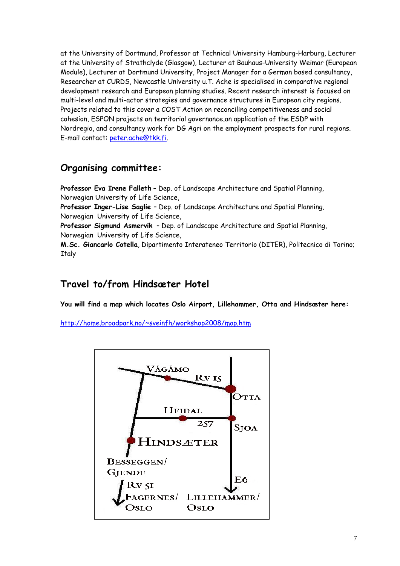at the University of Dortmund, Professor at Technical University Hamburg-Harburg, Lecturer at the University of Strathclyde (Glasgow), Lecturer at Bauhaus-University Weimar (European Module), Lecturer at Dortmund University, Project Manager for a German based consultancy, Researcher at CURDS, Newcastle University u.T. Ache is specialised in comparative regional development research and European planning studies. Recent research interest is focused on multi-level and multi-actor strategies and governance structures in European city regions. Projects related to this cover a COST Action on reconciling competitiveness and social cohesion, ESPON projects on territorial governance,an application of the ESDP with Nordregio, and consultancy work for DG Agri on the employment prospects for rural regions. E-mail contact: peter.ache@tkk.fi.

## **Organising committee:**

**Professor Eva Irene Falleth** – Dep. of Landscape Architecture and Spatial Planning, Norwegian University of Life Science,

**Professor Inger-Lise Saglie** – Dep. of Landscape Architecture and Spatial Planning, Norwegian University of Life Science,

**Professor Sigmund Asmervik** – Dep. of Landscape Architecture and Spatial Planning, Norwegian University of Life Science,

**M.Sc. Giancarlo Cotella**, Dipartimento Interateneo Territorio (DITER), Politecnico di Torino; **Italy** 

## **Travel to/from Hindsæter Hotel**

**You will find a map which locates Oslo Airport, Lillehammer, Otta and Hindsæter here:** 

http://home.broadpark.no/~sveinfh/workshop2008/map.htm